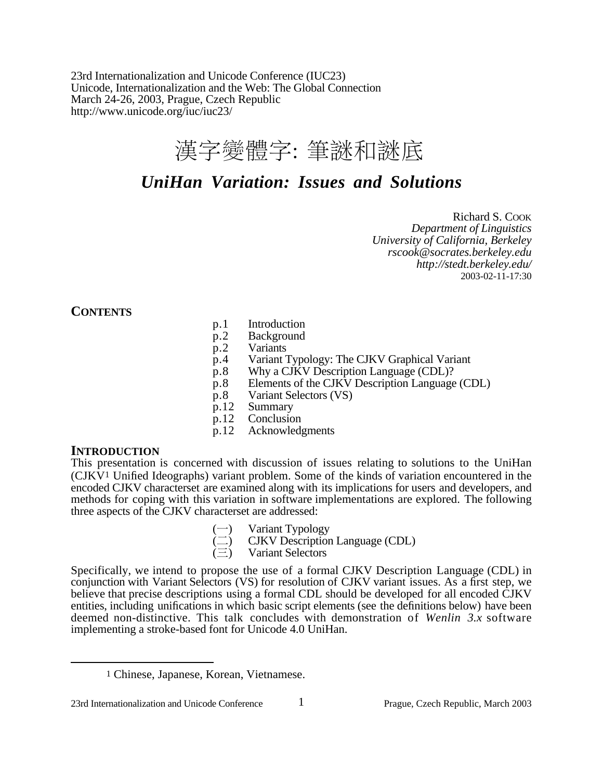23rd Internationalization and Unicode Conference (IUC23) Unicode, Internationalization and the Web: The Global Connection March 24-26, 2003, Prague, Czech Republic http://www.unicode.org/iuc/iuc23/

# 漢字變體字: 筆謎和謎底

# *UniHan Variation: Issues and Solutions*

Richard S. COOK *Department of Linguistics University of California, Berkeley rscook@socrates.berkeley.edu http://stedt.berkeley.edu/* 2003-02-11-17:30

**CONTENTS**

- p.1 Introduction
- p.2 Background
- p.2 Variants
- p.4 Variant Typology: The CJKV Graphical Variant<br>p.8 Why a CJKV Description Language (CDL)?
- Why a CJKV Description Language (CDL)?
- p.8 Elements of the CJKV Description Language (CDL)
- p.8 Variant Selectors (VS)
- p.12 Summary
- p.12 Conclusion<br>p.12 Acknowled
- Acknowledgments

### **INTRODUCTION**

This presentation is concerned with discussion of issues relating to solutions to the UniHan (CJKV1 Unified Ideographs) variant problem. Some of the kinds of variation encountered in the encoded CJKV characterset are examined along with its implications for users and developers, and methods for coping with this variation in software implementations are explored. The following three aspects of the CJKV characterset are addressed:

- Variant Typology
- CJKV Description Language (CDL)
- Variant Selectors

Specifically, we intend to propose the use of a formal CJKV Description Language (CDL) in conjunction with Variant Selectors (VS) for resolution of CJKV variant issues. As a first step, we believe that precise descriptions using a formal CDL should be developed for all encoded  $\tilde{C}$ JKV entities, including unifications in which basic script elements (see the definitions below) have been deemed non-distinctive. This talk concludes with demonstration of *Wenlin 3.x* software implementing a stroke-based font for Unicode 4.0 UniHan.

<sup>1</sup> Chinese, Japanese, Korean, Vietnamese.

<sup>23</sup>rd Internationalization and Unicode Conference 1 Prague, Czech Republic, March 2003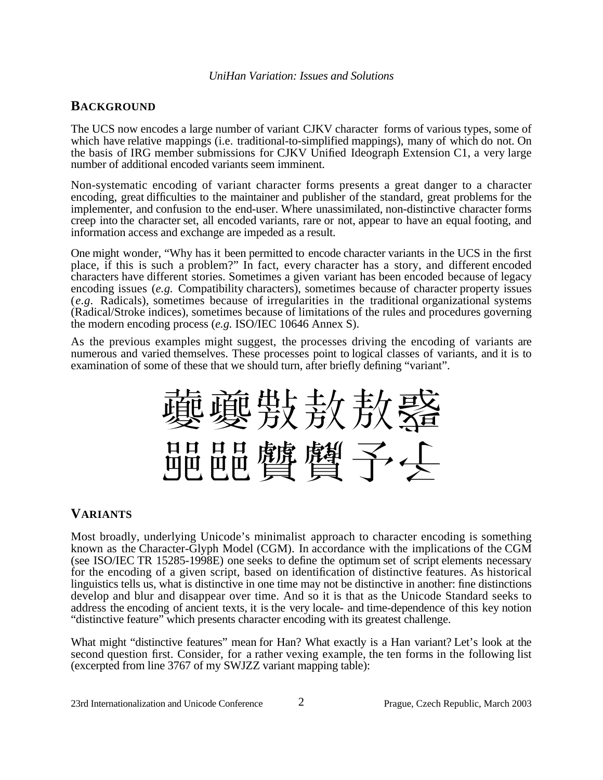### **BACKGROUND**

The UCS now encodes a large number of variant CJKV character forms of various types, some of which have relative mappings (i.e. traditional-to-simplified mappings), many of which do not. On the basis of IRG member submissions for CJKV Unified Ideograph Extension C1, a very large number of additional encoded variants seem imminent.

Non-systematic encoding of variant character forms presents a great danger to a character encoding, great difficulties to the maintainer and publisher of the standard, great problems for the implementer, and confusion to the end-user. Where unassimilated, non-distinctive character forms creep into the character set, all encoded variants, rare or not, appear to have an equal footing, and information access and exchange are impeded as a result.

One might wonder, "Why has it been permitted to encode character variants in the UCS in the first place, if this is such a problem?" In fact, every character has a story, and different encoded characters have different stories. Sometimes a given variant has been encoded because of legacy encoding issues (*e.g.* Compatibility characters), sometimes because of character property issues (*e.g.* Radicals), sometimes because of irregularities in the traditional organizational systems (Radical/Stroke indices), sometimes because of limitations of the rules and procedures governing the modern encoding process (*e.g.* ISO/IEC 10646 Annex S).

As the previous examples might suggest, the processes driving the encoding of variants are numerous and varied themselves. These processes point to logical classes of variants, and it is to examination of some of these that we should turn, after briefly defining "variant".

裹夔赀纹敖鳌 開開體 聲子 人

# **VARIANTS**

Most broadly, underlying Unicode's minimalist approach to character encoding is something known as the Character-Glyph Model (CGM). In accordance with the implications of the CGM (see ISO/IEC TR 15285-1998E) one seeks to define the optimum set of script elements necessary for the encoding of a given script, based on identification of distinctive features. As historical linguistics tells us, what is distinctive in one time may not be distinctive in another: fine distinctions develop and blur and disappear over time. And so it is that as the Unicode Standard seeks to address the encoding of ancient texts, it is the very locale- and time-dependence of this key notion "distinctive feature" which presents character encoding with its greatest challenge.

What might "distinctive features" mean for Han? What exactly is a Han variant? Let's look at the second question first. Consider, for a rather vexing example, the ten forms in the following list (excerpted from line 3767 of my SWJZZ variant mapping table):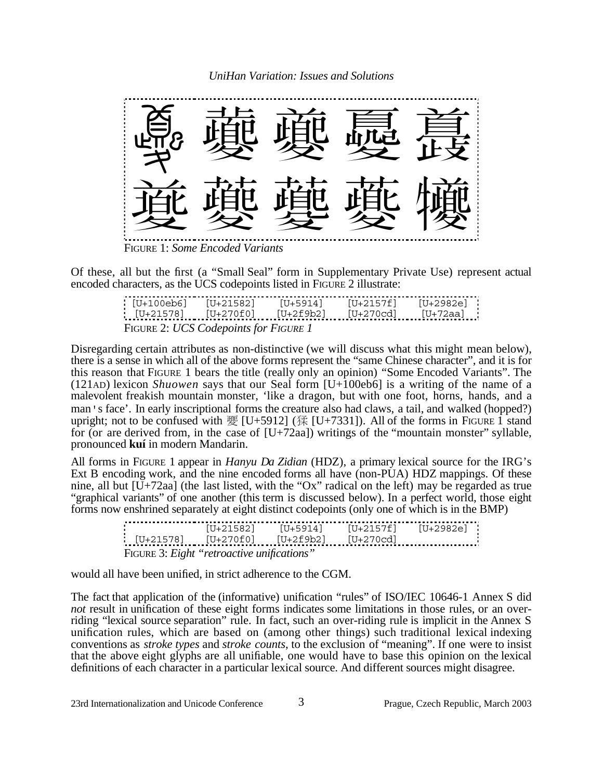

Of these, all but the first (a "Small Seal" form in Supplementary Private Use) represent actual encoded characters, as the UCS codepoints listed in FIGURE 2 illustrate:

| [U+100eb6]                          | 「U+21582] | ' <sup>1</sup> J+5914 i | [U+2157f] | IU+2982e |  |  |  |
|-------------------------------------|-----------|-------------------------|-----------|----------|--|--|--|
| TU+215781                           | IU+270f0  |                         |           |          |  |  |  |
| FIGURE 2: UCS Codepoints for FIGURE |           |                         |           |          |  |  |  |

Disregarding certain attributes as non-distinctive (we will discuss what this might mean below), there is a sense in which all of the above forms represent the "same Chinese character", and it is for this reason that FIGURE 1 bears the title (really only an opinion) "Some Encoded Variants". The (121AD) lexicon *Shuowen* says that our Seal form [U+100eb6] is a writing of the name of a malevolent freakish mountain monster, 'like a dragon, but with one foot, horns, hands, and a man's face'. In early inscriptional forms the creature also had claws, a tail, and walked (hopped?) upright; not to be confused with  $\mathfrak{F}$  [U+5912] (猱 [U+7331]). All of the forms in FIGURE 1 stand for (or are derived from, in the case of  $[U+72aa]$ ) writings of the "mountain monster" syllable, pronounced **kuí** in modern Mandarin.

All forms in FIGURE 1 appear in *Hanyu Da Zidian* (HDZ), a primary lexical source for the IRG's Ext B encoding work, and the nine encoded forms all have (non-PUA) HDZ mappings. Of these nine, all but  $[U+72aa]$  (the last listed, with the "Ox" radical on the left) may be regarded as true "graphical variants" of one another (this term is discussed below). In a perfect world, those eight forms now enshrined separately at eight distinct codepoints (only one of which is in the BMP)

| U+21578]<br>$: [U+21578] \qquad [U+270f0] \qquad [U+2f9b2] \qquad [U+270cd] \qquad \qquad \ldots \ldots$ | [U+21582] | 「U+5914] | [U+2157f] | [U+2982e] - |  |  |  |  |
|----------------------------------------------------------------------------------------------------------|-----------|----------|-----------|-------------|--|--|--|--|
| FIGURE 3: Eight "retroactive unifications"                                                               |           |          |           |             |  |  |  |  |

would all have been unified, in strict adherence to the CGM.

The fact that application of the (informative) unification "rules" of ISO/IEC 10646-1 Annex S did *not* result in unification of these eight forms indicates some limitations in those rules, or an overriding "lexical source separation" rule. In fact, such an over-riding rule is implicit in the Annex S unification rules, which are based on (among other things) such traditional lexical indexing conventions as *stroke types* and *stroke counts*, to the exclusion of "meaning". If one were to insist that the above eight glyphs are all unifiable, one would have to base this opinion on the lexical definitions of each character in a particular lexical source. And different sources might disagree.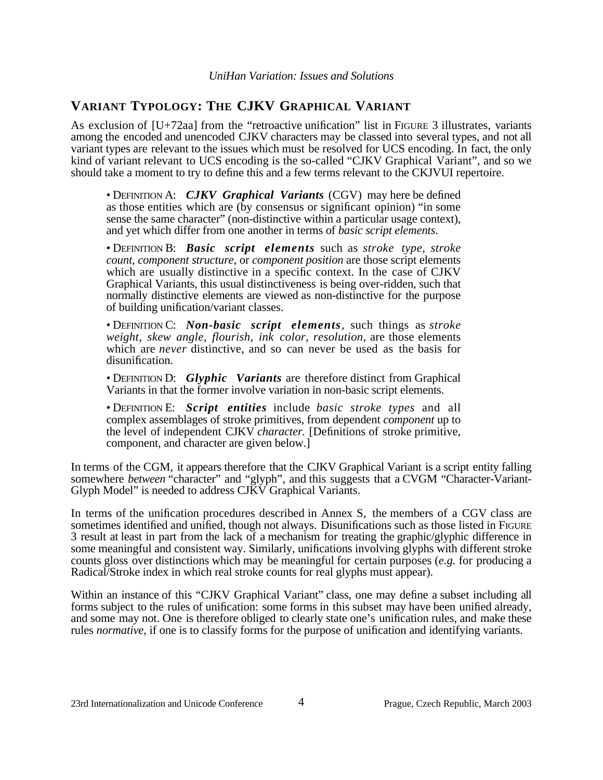# **VARIANT TYPOLOGY: THE CJKV GRAPHICAL VARIANT**

As exclusion of [U+72aa] from the "retroactive unification" list in FIGURE 3 illustrates, variants among the encoded and unencoded CJKV characters may be classed into several types, and not all variant types are relevant to the issues which must be resolved for UCS encoding. In fact, the only kind of variant relevant to UCS encoding is the so-called "CJKV Graphical Variant", and so we should take a moment to try to define this and a few terms relevant to the CKJVUI repertoire.

• DEFINITION A: *CJKV Graphical Variants* (CGV) may here be defined as those entities which are (by consensus or significant opinion) "in some sense the same character" (non-distinctive within a particular usage context), and yet which differ from one another in terms of *basic script elements*.

• DEFINITION B: *Basic script elements* such as *stroke type, stroke count, component structure*, or *component position* are those script elements which are usually distinctive in a specific context. In the case of CJKV Graphical Variants, this usual distinctiveness is being over-ridden, such that normally distinctive elements are viewed as non-distinctive for the purpose of building unification/variant classes.

• DEFINITION C: *Non-basic script elements,* such things as *stroke weight, skew angle, flourish, ink color, resolution*, are those elements which are *never* distinctive, and so can never be used as the basis for disunification.

• DEFINITION D: *Glyphic Variants* are therefore distinct from Graphical Variants in that the former involve variation in non-basic script elements.

• DEFINITION E: *Script entities* include *basic stroke types* and all complex assemblages of stroke primitives, from dependent *component* up to the level of independent CJKV *character.* [Definitions of stroke primitive, component, and character are given below.]

In terms of the CGM, it appears therefore that the CJKV Graphical Variant is a script entity falling somewhere *between* "character" and "glyph", and this suggests that a CVGM "Character-Variant-Glyph Model" is needed to address CJKV Graphical Variants.

In terms of the unification procedures described in Annex S, the members of a CGV class are sometimes identified and unified, though not always. Disunifications such as those listed in FIGURE 3 result at least in part from the lack of a mechanism for treating the graphic/glyphic difference in some meaningful and consistent way. Similarly, unifications involving glyphs with different stroke counts gloss over distinctions which may be meaningful for certain purposes (*e.g.* for producing a Radical/Stroke index in which real stroke counts for real glyphs must appear).

Within an instance of this "CJKV Graphical Variant" class, one may define a subset including all forms subject to the rules of unification: some forms in this subset may have been unified already, and some may not. One is therefore obliged to clearly state one's unification rules, and make these rules *normative*, if one is to classify forms for the purpose of unification and identifying variants.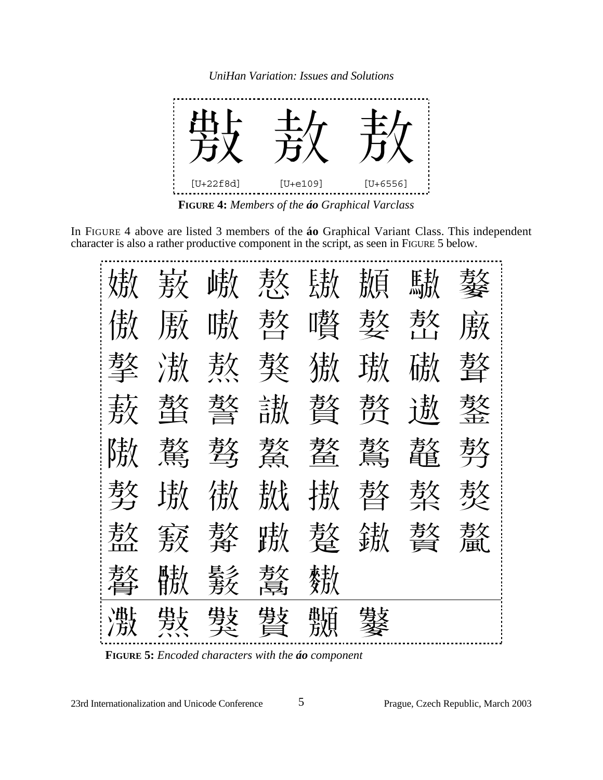

**FIGURE 4:** *Members of the áo Graphical Varclass* 

In FIGURE 4 above are listed 3 members of the **áo** Graphical Variant Class. This independent character is also a rather productive component in the script, as seen in FIGURE 5 below.

|                |  |  | 嫩 蔜 峨 熬 鰦 颞 騚 鏊 |  |
|----------------|--|--|-----------------|--|
|                |  |  | 傲厫嗷憨警嚽嫯螯廒       |  |
|                |  |  | 摮 滶 熬 獒 獓 璈 磝 聱 |  |
|                |  |  | 蔜 螯 螯 謸 贅 赘 遨 鏊 |  |
|                |  |  |                 |  |
|                |  |  | 覱 璈 傲 謸 謸 螯 赘 赘 |  |
|                |  |  | 敖窾赘欺嫠鏉赘感        |  |
| 孝女 駐, 晏乡 孝女 获劫 |  |  |                 |  |
| 濈 歎 數 數 斷 數    |  |  |                 |  |

**FIGURE 5:** *Encoded characters with the áo component* 

23rd Internationalization and Unicode Conference 5 Prague, Czech Republic, March 2003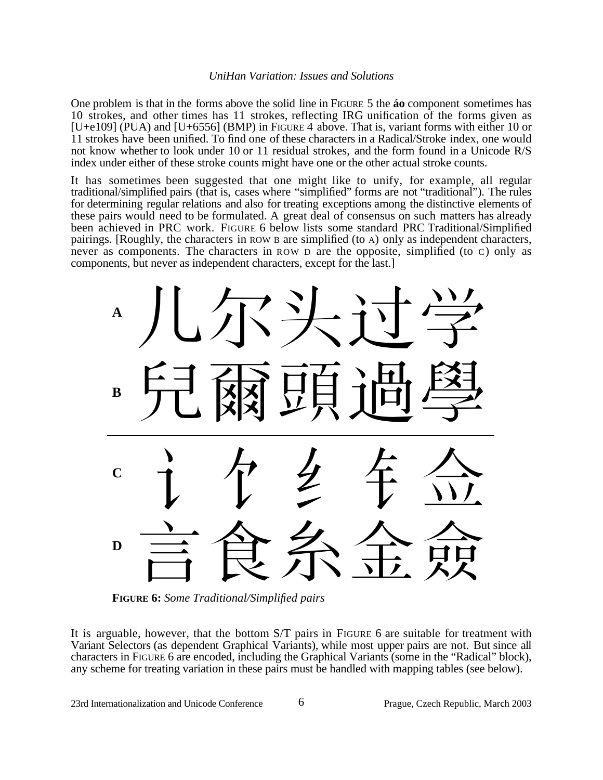One problem is that in the forms above the solid line in FIGURE 5 the **áo** component sometimes has 10 strokes, and other times has 11 strokes, reflecting IRG unification of the forms given as [U+e109] (PUA) and [U+6556] (BMP) in FIGURE 4 above. That is, variant forms with either 10 or 11 strokes have been unified. To find one of these characters in a Radical/Stroke index, one would not know whether to look under 10 or 11 residual strokes, and the form found in a Unicode R/S index under either of these stroke counts might have one or the other actual stroke counts.

It has sometimes been suggested that one might like to unify, for example, all regular traditional/simplified pairs (that is, cases where "simplified" forms are not "traditional"). The rules for determining regular relations and also for treating exceptions among the distinctive elements of these pairs would need to be formulated. A great deal of consensus on such matters has already been achieved in PRC work. FIGURE 6 below lists some standard PRC Traditional/Simplified pairings. [Roughly, the characters in ROW B are simplified (to A) only as independent characters, never as components. The characters in ROW D are the opposite, simplified (to C) only as components, but never as independent characters, except for the last.]



**FIGURE 6:** *Some Traditional/Simplified pairs*

It is arguable, however, that the bottom S/T pairs in FIGURE 6 are suitable for treatment with Variant Selectors (as dependent Graphical Variants), while most upper pairs are not. But since all characters in FIGURE 6 are encoded, including the Graphical Variants (some in the "Radical" block), any scheme for treating variation in these pairs must be handled with mapping tables (see below).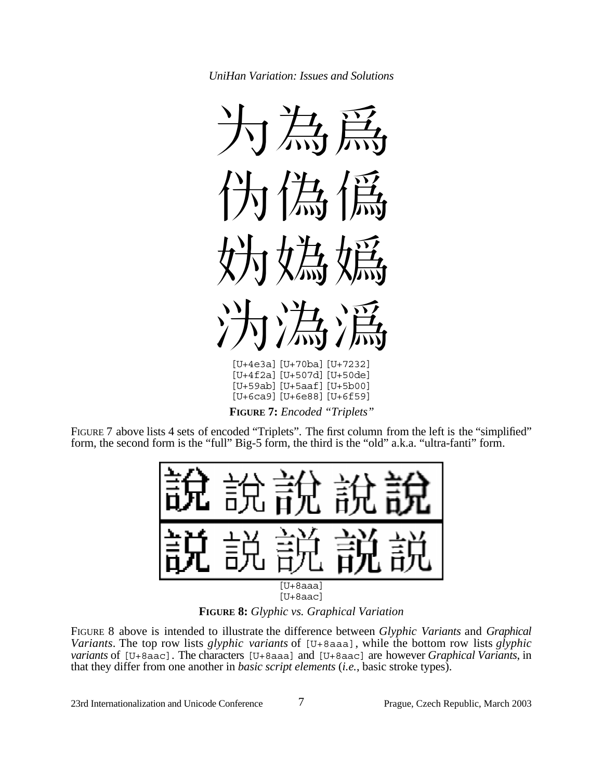

**FIGURE 7:** *Encoded "Triplets"*

FIGURE 7 above lists 4 sets of encoded "Triplets". The first column from the left is the "simplified" form, the second form is the "full" Big-5 form, the third is the "old" a.k.a. "ultra-fanti" form.



**FIGURE 8:** *Glyphic vs. Graphical Variation*

FIGURE 8 above is intended to illustrate the difference between *Glyphic Variants* and *Graphical Variants*. The top row lists *glyphic variants* of [U+8aaa], while the bottom row lists *glyphic variants* of [U+8aac]. The characters [U+8aaa] and [U+8aac] are however *Graphical Variants*, in that they differ from one another in *basic script elements* (*i.e.*, basic stroke types).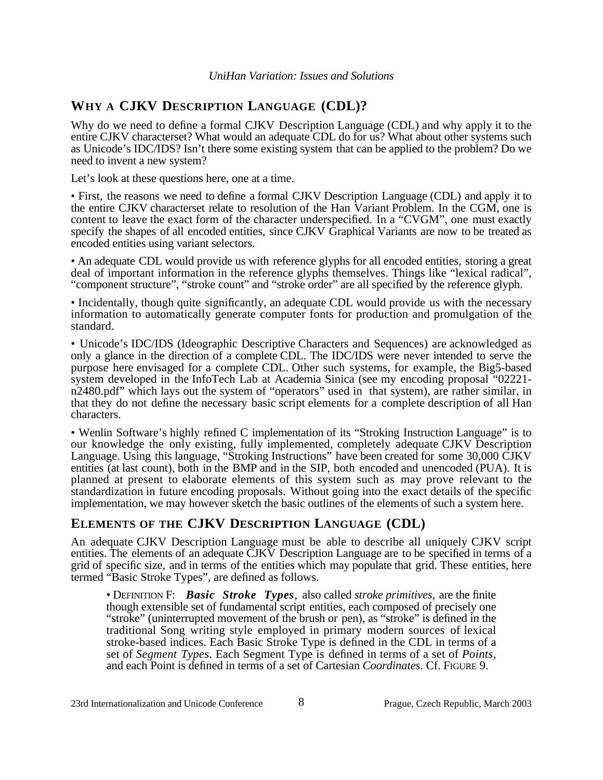# **WHY A CJKV DESCRIPTION LANGUAGE (CDL)?**

Why do we need to define a formal CJKV Description Language (CDL) and why apply it to the entire CJKV characterset? What would an adequate CDL do for us? What about other systems such as Unicode's IDC/IDS? Isn't there some existing system that can be applied to the problem? Do we need to invent a new system?

Let's look at these questions here, one at a time.

• First, the reasons we need to define a formal CJKV Description Language (CDL) and apply it to the entire CJKV characterset relate to resolution of the Han Variant Problem. In the CGM, one is content to leave the exact form of the character underspecified. In a "CVGM", one must exactly specify the shapes of all encoded entities, since CJKV Graphical Variants are now to be treated as encoded entities using variant selectors.

• An adequate CDL would provide us with reference glyphs for all encoded entities, storing a great deal of important information in the reference glyphs themselves. Things like "lexical radical", "component structure", "stroke count" and "stroke order" are all specified by the reference glyph.

• Incidentally, though quite significantly, an adequate CDL would provide us with the necessary information to automatically generate computer fonts for production and promulgation of the standard.

• Unicode's IDC/IDS (Ideographic Descriptive Characters and Sequences) are acknowledged as only a glance in the direction of a complete CDL. The IDC/IDS were never intended to serve the purpose here envisaged for a complete CDL. Other such systems, for example, the Big5-based system developed in the InfoTech Lab at Academia Sinica (see my encoding proposal "02221 n2480.pdf" which lays out the system of "operators" used in that system), are rather similar, in that they do not define the necessary basic script elements for a complete description of all Han characters.

• Wenlin Software's highly refined C implementation of its "Stroking Instruction Language" is to our knowledge the only existing, fully implemented, completely adequate CJKV Description Language. Using this language, "Stroking Instructions" have been created for some 30,000 CJKV entities (at last count), both in the BMP and in the SIP, both encoded and unencoded (PUA). It is planned at present to elaborate elements of this system such as may prove relevant to the standardization in future encoding proposals. Without going into the exact details of the specific implementation, we may however sketch the basic outlines of the elements of such a system here.

### **ELEMENTS OF THE CJKV DESCRIPTION LANGUAGE (CDL)**

An adequate CJKV Description Language must be able to describe all uniquely CJKV script entities. The elements of an adequate CJKV Description Language are to be specified in terms of a grid of specific size, and in terms of the entities which may populate that grid. These entities, here termed "Basic Stroke Types", are defined as follows.

• DEFINITION F: *Basic Stroke Types,* also called *stroke primitives*, are the finite though extensible set of fundamental script entities, each composed of precisely one "stroke" (uninterrupted movement of the brush or pen), as "stroke" is defined in the traditional Song writing style employed in primary modern sources of lexical stroke-based indices. Each Basic Stroke Type is defined in the CDL in terms of a set of *Segment Types*. Each Segment Type is defined in terms of a set of *Points*, and each Point is defined in terms of a set of Cartesian *Coordinates*. Cf. FIGURE 9.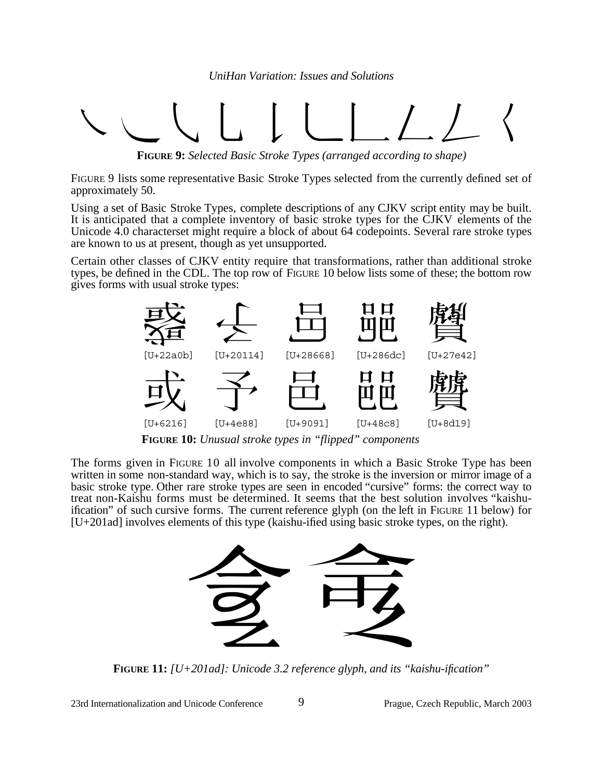# ·'"‰ÂÊÁËÈÍ

**FIGURE 9:** *Selected Basic Stroke Types (arranged according to shape)*

FIGURE 9 lists some representative Basic Stroke Types selected from the currently defined set of approximately 50.

Using a set of Basic Stroke Types, complete descriptions of any CJKV script entity may be built. It is anticipated that a complete inventory of basic stroke types for the CJKV elements of the Unicode 4.0 characterset might require a block of about 64 codepoints. Several rare stroke types are known to us at present, though as yet unsupported.

Certain other classes of CJKV entity require that transformations, rather than additional stroke types, be defined in the CDL. The top row of FIGURE 10 below lists some of these; the bottom row gives forms with usual stroke types:



**FIGURE 10:** *Unusual stroke types in "flipped" components*

The forms given in FIGURE 10 all involve components in which a Basic Stroke Type has been written in some non-standard way, which is to say, the stroke is the inversion or mirror image of a basic stroke type. Other rare stroke types are seen in encoded "cursive" forms: the correct way to treat non-Kaishu forms must be determined. It seems that the best solution involves "kaishuification" of such cursive forms. The current reference glyph (on the left in FIGURE 11 below) for [U+201ad] involves elements of this type (kaishu-ified using basic stroke types, on the right).



**FIGURE 11:** *[U+201ad]: Unicode 3.2 reference glyph, and its "kaishu-ification"*

23rd Internationalization and Unicode Conference 9 Prague, Czech Republic, March 2003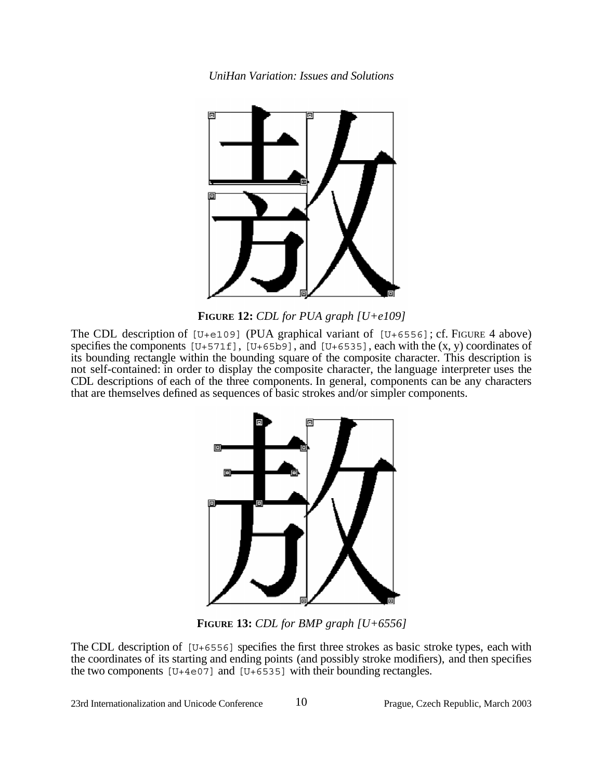

**FIGURE 12:** *CDL for PUA graph [U+e109]*

The CDL description of  $[U+e109]$  (PUA graphical variant of  $[U+6556]$ ; cf. FIGURE 4 above) specifies the components  $[U+571f]$ ,  $[U+65b9]$ , and  $[U+6535]$ , each with the  $(x, y)$  coordinates of its bounding rectangle within the bounding square of the composite character. This description is not self-contained: in order to display the composite character, the language interpreter uses the CDL descriptions of each of the three components. In general, components can be any characters that are themselves defined as sequences of basic strokes and/or simpler components.



**FIGURE 13:** *CDL for BMP graph [U+6556]*

The CDL description of  $[U+6556]$  specifies the first three strokes as basic stroke types, each with the coordinates of its starting and ending points (and possibly stroke modifiers), and then specifies the two components  $[U+4e07]$  and  $[U+6535]$  with their bounding rectangles.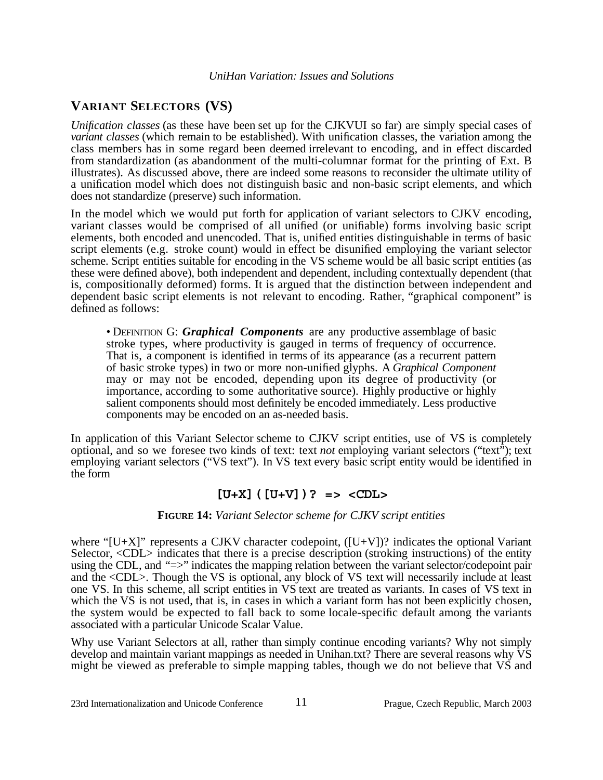# **VARIANT SELECTORS (VS)**

*Unification classes* (as these have been set up for the CJKVUI so far) are simply special cases of *variant classes* (which remain to be established). With unification classes, the variation among the class members has in some regard been deemed irrelevant to encoding, and in effect discarded from standardization (as abandonment of the multi-columnar format for the printing of Ext. B illustrates). As discussed above, there are indeed some reasons to reconsider the ultimate utility of a unification model which does not distinguish basic and non-basic script elements, and which does not standardize (preserve) such information.

In the model which we would put forth for application of variant selectors to CJKV encoding, variant classes would be comprised of all unified (or unifiable) forms involving basic script elements, both encoded and unencoded. That is, unified entities distinguishable in terms of basic script elements (e.g. stroke count) would in effect be disunified employing the variant selector scheme. Script entities suitable for encoding in the VS scheme would be all basic script entities (as these were defined above), both independent and dependent, including contextually dependent (that is, compositionally deformed) forms. It is argued that the distinction between independent and dependent basic script elements is not relevant to encoding. Rather, "graphical component" is defined as follows:

• DEFINITION G: *Graphical Components* are any productive assemblage of basic stroke types, where productivity is gauged in terms of frequency of occurrence. That is, a component is identified in terms of its appearance (as a recurrent pattern of basic stroke types) in two or more non-unified glyphs. A *Graphical Component* may or may not be encoded, depending upon its degree of productivity (or importance, according to some authoritative source). Highly productive or highly salient components should most definitely be encoded immediately. Less productive components may be encoded on an as-needed basis.

In application of this Variant Selector scheme to CJKV script entities, use of VS is completely optional, and so we foresee two kinds of text: text *not* employing variant selectors ("text"); text employing variant selectors ("VS text"). In VS text every basic script entity would be identified in the form

# **[U+X]([U+V])? => <CDL>**

### **FIGURE 14:** *Variant Selector scheme for CJKV script entities*

where " $[U+X]$ " represents a CJKV character codepoint,  $([U+V])$ ? indicates the optional Variant Selector, <CDL> indicates that there is a precise description (stroking instructions) of the entity using the CDL, and "=>" indicates the mapping relation between the variant selector/codepoint pair and the <CDL>. Though the VS is optional, any block of VS text will necessarily include at least one VS. In this scheme, all script entities in VS text are treated as variants. In cases of VS text in which the VS is not used, that is, in cases in which a variant form has not been explicitly chosen, the system would be expected to fall back to some locale-specific default among the variants associated with a particular Unicode Scalar Value.

Why use Variant Selectors at all, rather than simply continue encoding variants? Why not simply develop and maintain variant mappings as needed in Unihan.txt? There are several reasons why VS might be viewed as preferable to simple mapping tables, though we do not believe that VS and